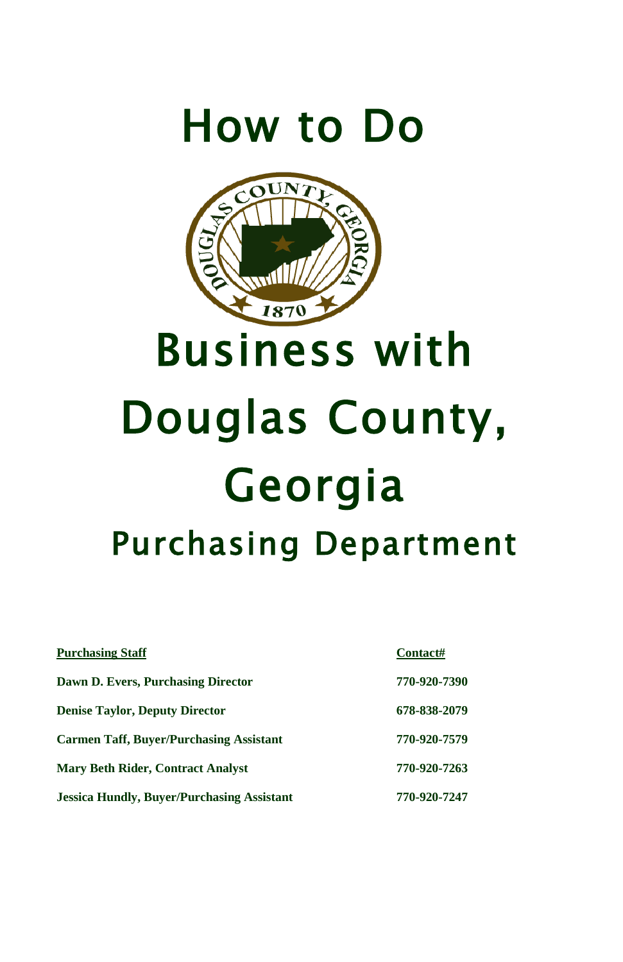



# Business with Douglas County, Georgia Purchasing Department

| <b>Purchasing Staff</b>                           | Contact#     |
|---------------------------------------------------|--------------|
| Dawn D. Evers, Purchasing Director                | 770-920-7390 |
| <b>Denise Taylor, Deputy Director</b>             | 678-838-2079 |
| <b>Carmen Taff, Buver/Purchasing Assistant</b>    | 770-920-7579 |
| <b>Mary Beth Rider, Contract Analyst</b>          | 770-920-7263 |
| <b>Jessica Hundly, Buyer/Purchasing Assistant</b> | 770-920-7247 |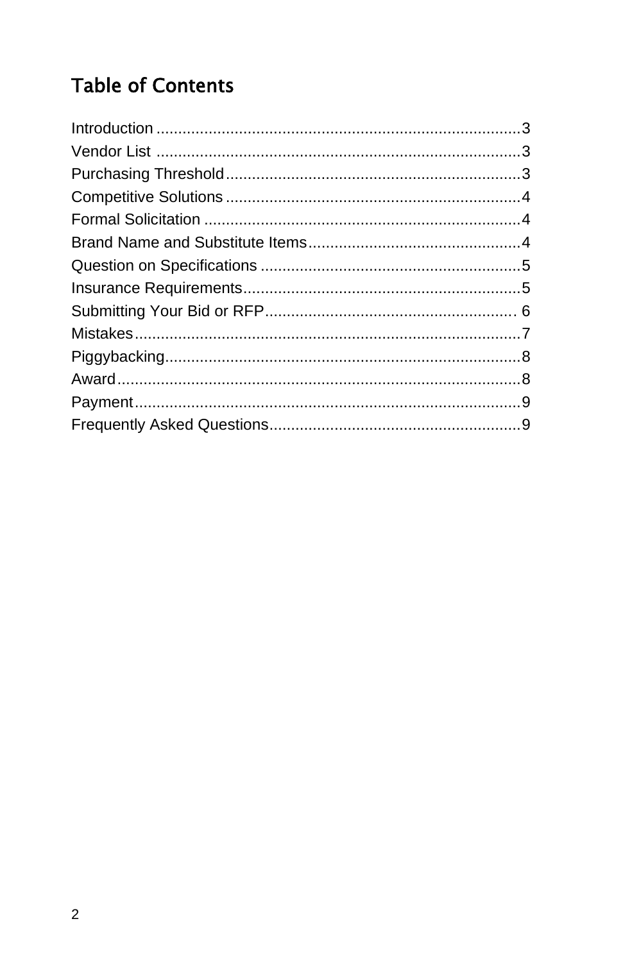### **Table of Contents**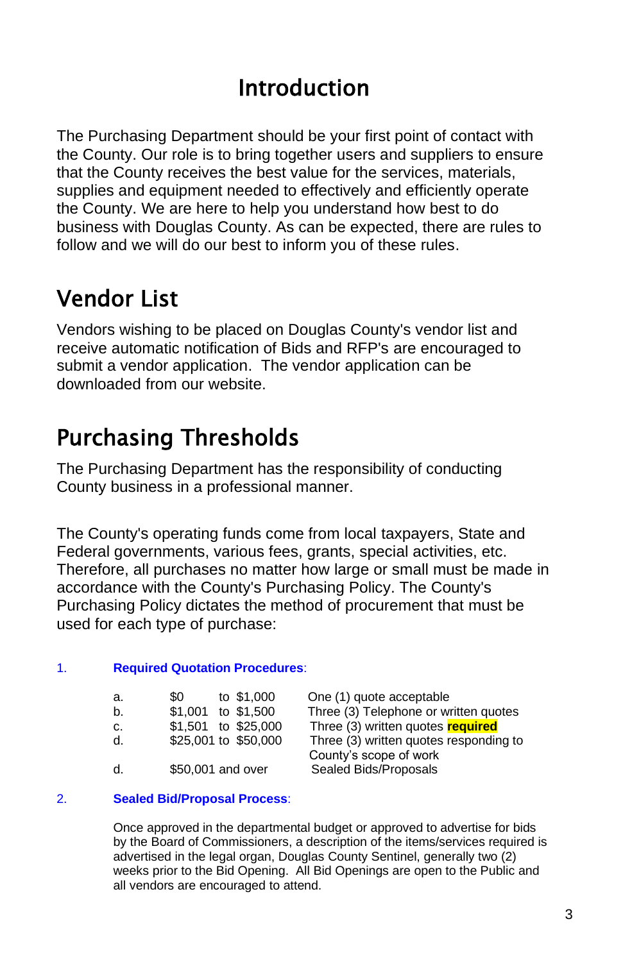### Introduction

The Purchasing Department should be your first point of contact with the County. Our role is to bring together users and suppliers to ensure that the County receives the best value for the services, materials, supplies and equipment needed to effectively and efficiently operate the County. We are here to help you understand how best to do business with Douglas County. As can be expected, there are rules to follow and we will do our best to inform you of these rules.

# Vendor List

Vendors wishing to be placed on Douglas County's vendor list and receive automatic notification of Bids and RFP's are encouraged to submit a vendor application. The vendor application can be downloaded from our website.

# Purchasing Thresholds

The Purchasing Department has the responsibility of conducting County business in a professional manner.

The County's operating funds come from local taxpayers, State and Federal governments, various fees, grants, special activities, etc. Therefore, all purchases no matter how large or small must be made in accordance with the County's Purchasing Policy. The County's Purchasing Policy dictates the method of procurement that must be used for each type of purchase:

### 1. **Required Quotation Procedures**:

| а. | \$0                | to \$1,000           |
|----|--------------------|----------------------|
| b. | \$1,001 to \$1,500 |                      |
| c. |                    | \$1,501 to \$25,000  |
| d. |                    | \$25,001 to \$50,000 |
| -1 | $ATOAOA = A + 1$   |                      |

One (1) quote acceptable Three (3) Telephone or written quotes Three (3) written quotes **required** Three (3) written quotes responding to County's scope of work d. \$50,001 and over Sealed Bids/Proposals

#### 2. **Sealed Bid/Proposal Process**:

Once approved in the departmental budget or approved to advertise for bids by the Board of Commissioners, a description of the items/services required is advertised in the legal organ, Douglas County Sentinel, generally two (2) weeks prior to the Bid Opening. All Bid Openings are open to the Public and all vendors are encouraged to attend.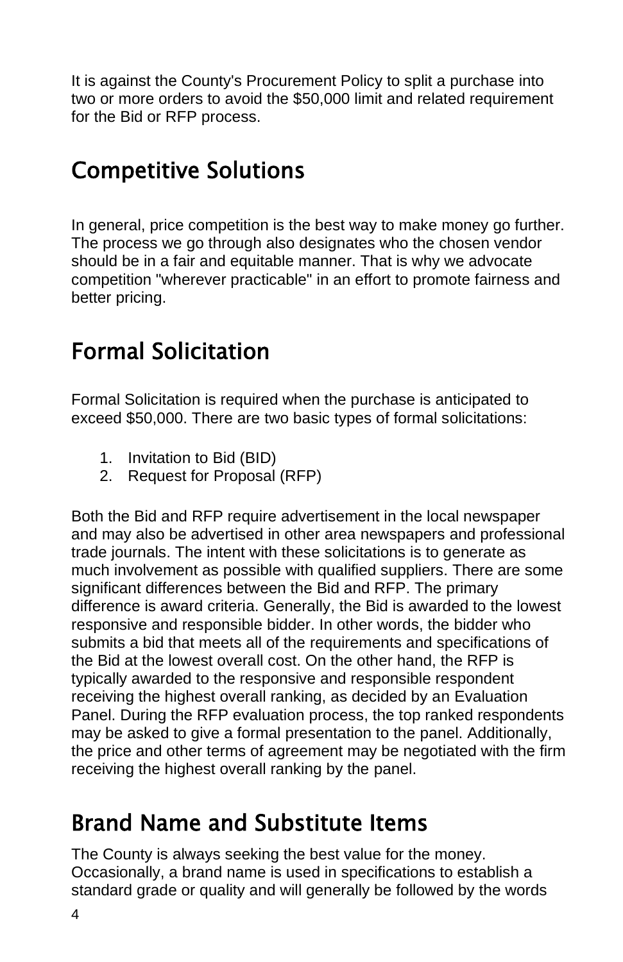It is against the County's Procurement Policy to split a purchase into two or more orders to avoid the \$50,000 limit and related requirement for the Bid or RFP process.

### Competitive Solutions

In general, price competition is the best way to make money go further. The process we go through also designates who the chosen vendor should be in a fair and equitable manner. That is why we advocate competition "wherever practicable" in an effort to promote fairness and better pricing.

### Formal Solicitation

Formal Solicitation is required when the purchase is anticipated to exceed \$50,000. There are two basic types of formal solicitations:

- 1. Invitation to Bid (BID)
- 2. Request for Proposal (RFP)

Both the Bid and RFP require advertisement in the local newspaper and may also be advertised in other area newspapers and professional trade journals. The intent with these solicitations is to generate as much involvement as possible with qualified suppliers. There are some significant differences between the Bid and RFP. The primary difference is award criteria. Generally, the Bid is awarded to the lowest responsive and responsible bidder. In other words, the bidder who submits a bid that meets all of the requirements and specifications of the Bid at the lowest overall cost. On the other hand, the RFP is typically awarded to the responsive and responsible respondent receiving the highest overall ranking, as decided by an Evaluation Panel. During the RFP evaluation process, the top ranked respondents may be asked to give a formal presentation to the panel. Additionally, the price and other terms of agreement may be negotiated with the firm receiving the highest overall ranking by the panel.

### Brand Name and Substitute Items

The County is always seeking the best value for the money. Occasionally, a brand name is used in specifications to establish a standard grade or quality and will generally be followed by the words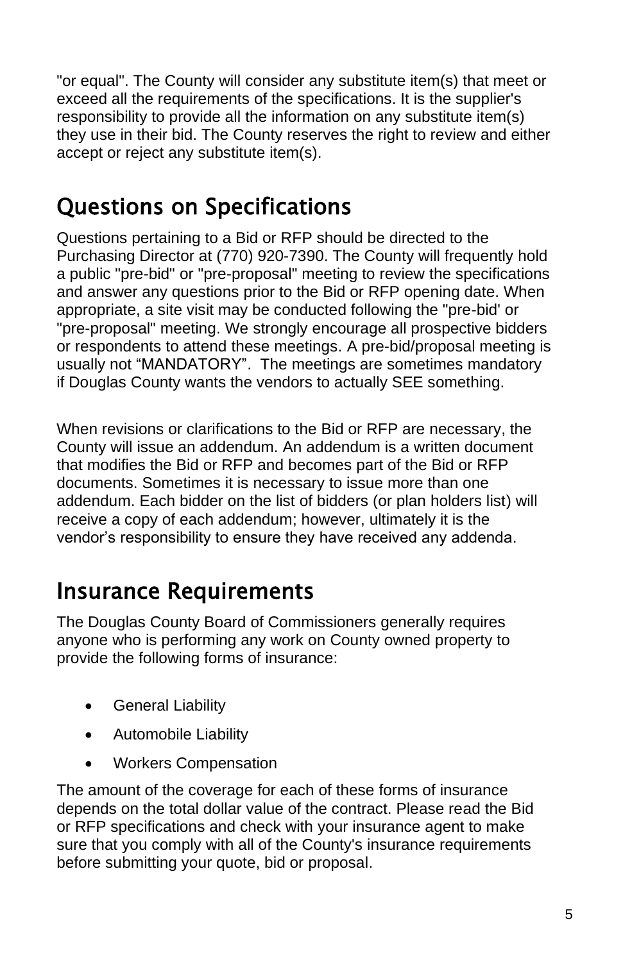"or equal". The County will consider any substitute item(s) that meet or exceed all the requirements of the specifications. It is the supplier's responsibility to provide all the information on any substitute item(s) they use in their bid. The County reserves the right to review and either accept or reject any substitute item(s).

### Questions on Specifications

Questions pertaining to a Bid or RFP should be directed to the Purchasing Director at (770) 920-7390. The County will frequently hold a public "pre-bid" or "pre-proposal" meeting to review the specifications and answer any questions prior to the Bid or RFP opening date. When appropriate, a site visit may be conducted following the "pre-bid' or "pre-proposal" meeting. We strongly encourage all prospective bidders or respondents to attend these meetings. A pre-bid/proposal meeting is usually not "MANDATORY". The meetings are sometimes mandatory if Douglas County wants the vendors to actually SEE something.

When revisions or clarifications to the Bid or RFP are necessary, the County will issue an addendum. An addendum is a written document that modifies the Bid or RFP and becomes part of the Bid or RFP documents. Sometimes it is necessary to issue more than one addendum. Each bidder on the list of bidders (or plan holders list) will receive a copy of each addendum; however, ultimately it is the vendor's responsibility to ensure they have received any addenda.

### Insurance Requirements

The Douglas County Board of Commissioners generally requires anyone who is performing any work on County owned property to provide the following forms of insurance:

- General Liability
- Automobile Liability
- Workers Compensation

The amount of the coverage for each of these forms of insurance depends on the total dollar value of the contract. Please read the Bid or RFP specifications and check with your insurance agent to make sure that you comply with all of the County's insurance requirements before submitting your quote, bid or proposal.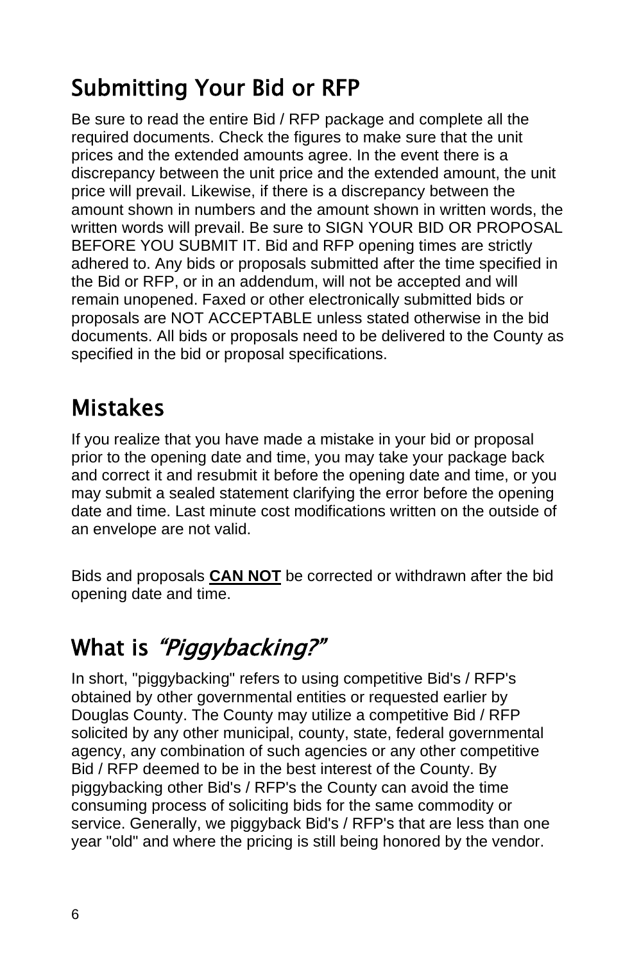# Submitting Your Bid or RFP

Be sure to read the entire Bid / RFP package and complete all the required documents. Check the figures to make sure that the unit prices and the extended amounts agree. In the event there is a discrepancy between the unit price and the extended amount, the unit price will prevail. Likewise, if there is a discrepancy between the amount shown in numbers and the amount shown in written words, the written words will prevail. Be sure to SIGN YOUR BID OR PROPOSAL BEFORE YOU SUBMIT IT. Bid and RFP opening times are strictly adhered to. Any bids or proposals submitted after the time specified in the Bid or RFP, or in an addendum, will not be accepted and will remain unopened. Faxed or other electronically submitted bids or proposals are NOT ACCEPTABLE unless stated otherwise in the bid documents. All bids or proposals need to be delivered to the County as specified in the bid or proposal specifications.

### Mistakes

If you realize that you have made a mistake in your bid or proposal prior to the opening date and time, you may take your package back and correct it and resubmit it before the opening date and time, or you may submit a sealed statement clarifying the error before the opening date and time. Last minute cost modifications written on the outside of an envelope are not valid.

Bids and proposals **CAN NOT** be corrected or withdrawn after the bid opening date and time.

# What is "*Piggybacking?*"

In short, "piggybacking" refers to using competitive Bid's / RFP's obtained by other governmental entities or requested earlier by Douglas County. The County may utilize a competitive Bid / RFP solicited by any other municipal, county, state, federal governmental agency, any combination of such agencies or any other competitive Bid / RFP deemed to be in the best interest of the County. By piggybacking other Bid's / RFP's the County can avoid the time consuming process of soliciting bids for the same commodity or service. Generally, we piggyback Bid's / RFP's that are less than one year "old" and where the pricing is still being honored by the vendor.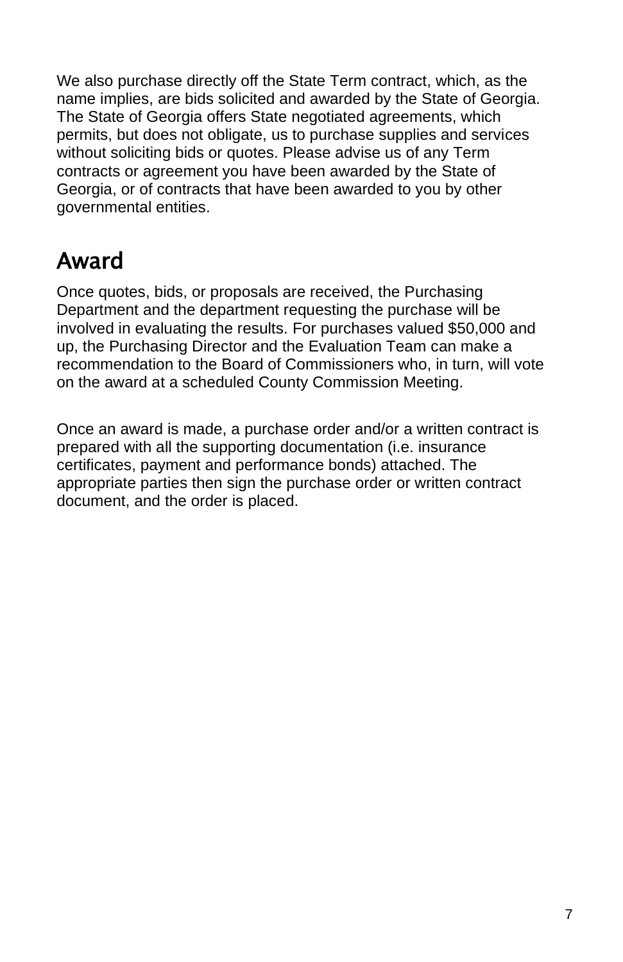We also purchase directly off the State Term contract, which, as the name implies, are bids solicited and awarded by the State of Georgia. The State of Georgia offers State negotiated agreements, which permits, but does not obligate, us to purchase supplies and services without soliciting bids or quotes. Please advise us of any Term contracts or agreement you have been awarded by the State of Georgia, or of contracts that have been awarded to you by other governmental entities.

# Award

Once quotes, bids, or proposals are received, the Purchasing Department and the department requesting the purchase will be involved in evaluating the results. For purchases valued \$50,000 and up, the Purchasing Director and the Evaluation Team can make a recommendation to the Board of Commissioners who, in turn, will vote on the award at a scheduled County Commission Meeting.

Once an award is made, a purchase order and/or a written contract is prepared with all the supporting documentation (i.e. insurance certificates, payment and performance bonds) attached. The appropriate parties then sign the purchase order or written contract document, and the order is placed.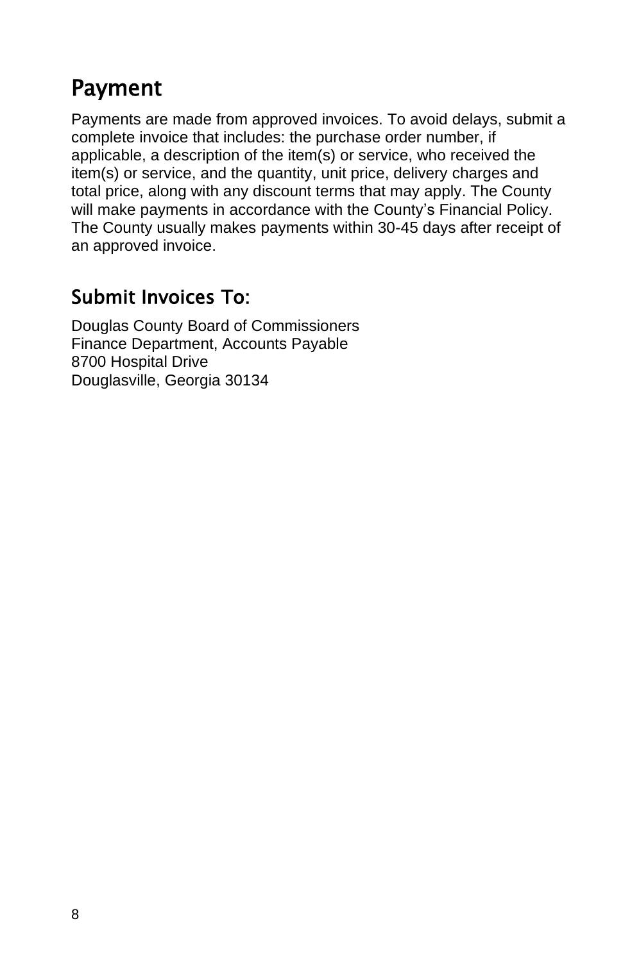### Payment

Payments are made from approved invoices. To avoid delays, submit a complete invoice that includes: the purchase order number, if applicable, a description of the item(s) or service, who received the item(s) or service, and the quantity, unit price, delivery charges and total price, along with any discount terms that may apply. The County will make payments in accordance with the County's Financial Policy. The County usually makes payments within 30-45 days after receipt of an approved invoice.

### Submit Invoices To:

Douglas County Board of Commissioners Finance Department, Accounts Payable 8700 Hospital Drive Douglasville, Georgia 30134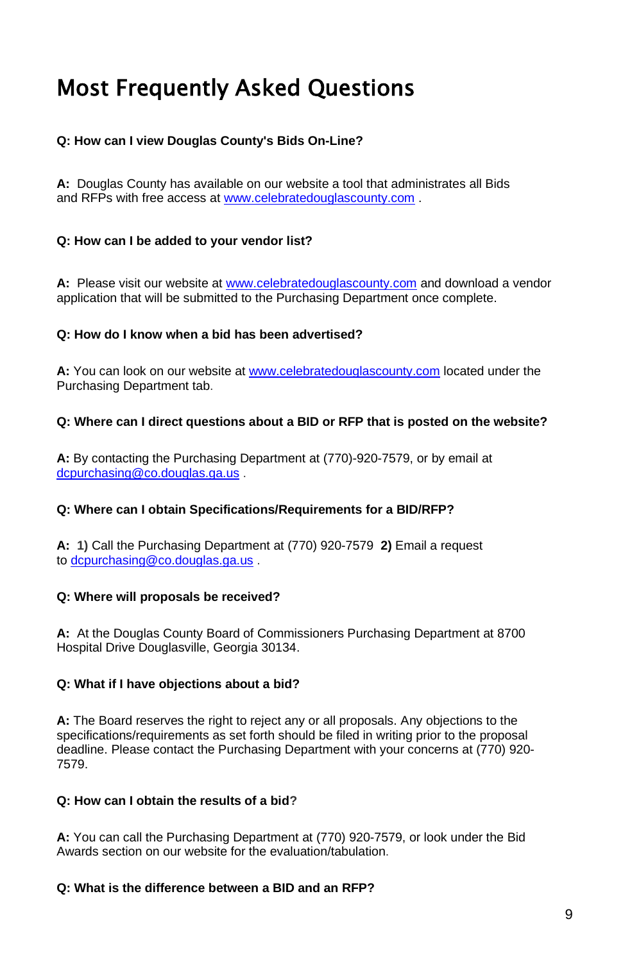# Most Frequently Asked Questions

#### **Q: How can I view Douglas County's Bids On-Line?**

**A:** Douglas County has available on our website a tool that administrates all Bids and RFPs with free access a[t www.celebratedouglascounty.com](http://www.celebratedouglascounty.com/) .

#### **Q: How can I be added to your vendor list?**

**A:** Please visit our website at [www.celebratedouglascounty.com](http://www.celebratedouglascounty.com/) and download a vendor application that will be submitted to the Purchasing Department once complete.

#### **Q: How do I know when a bid has been advertised?**

**A:** You can look on our website a[t www.celebratedouglascounty.com](http://www.celebratedouglascounty.com/) located under the Purchasing Department tab.

#### **Q: Where can I direct questions about a BID or RFP that is posted on the website?**

**A:** By contacting the Purchasing Department at (770)-920-7579, or by email at [dcpurchasing@co.douglas.ga.us](mailto:dcpurchasing@co.douglas.ga.us) .

#### **Q: Where can I obtain Specifications/Requirements for a BID/RFP?**

**A: 1)** Call the Purchasing Department at (770) 920-7579 **2)** Email a request to [dcpurchasing@co.douglas.ga.us](mailto:dcpurchasing@co.douglas.ga.us) .

#### **Q: Where will proposals be received?**

**A:** At the Douglas County Board of Commissioners Purchasing Department at 8700 Hospital Drive Douglasville, Georgia 30134.

#### **Q: What if I have objections about a bid?**

**A:** The Board reserves the right to reject any or all proposals. Any objections to the specifications/requirements as set forth should be filed in writing prior to the proposal deadline. Please contact the Purchasing Department with your concerns at (770) 920- 7579.

#### **Q: How can I obtain the results of a bid?**

**A:** You can call the Purchasing Department at (770) 920-7579, or look under the Bid Awards section on our website for the evaluation/tabulation.

#### **Q: What is the difference between a BID and an RFP?**